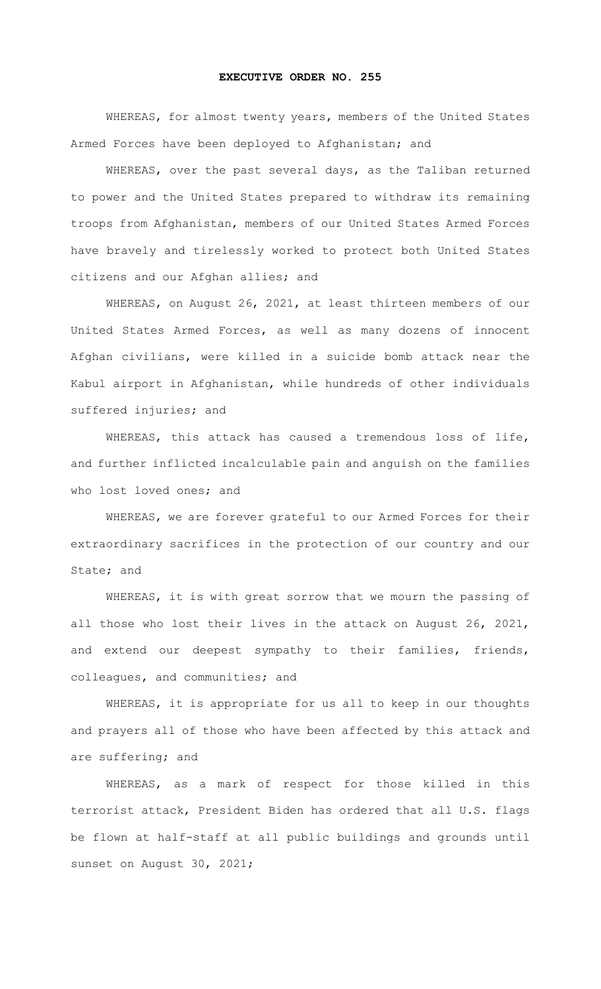## **EXECUTIVE ORDER NO. 255**

WHEREAS, for almost twenty years, members of the United States Armed Forces have been deployed to Afghanistan; and

WHEREAS, over the past several days, as the Taliban returned to power and the United States prepared to withdraw its remaining troops from Afghanistan, members of our United States Armed Forces have bravely and tirelessly worked to protect both United States citizens and our Afghan allies; and

WHEREAS, on August 26, 2021, at least thirteen members of our United States Armed Forces, as well as many dozens of innocent Afghan civilians, were killed in a suicide bomb attack near the Kabul airport in Afghanistan, while hundreds of other individuals suffered injuries; and

WHEREAS, this attack has caused a tremendous loss of life, and further inflicted incalculable pain and anguish on the families who lost loved ones; and

WHEREAS, we are forever grateful to our Armed Forces for their extraordinary sacrifices in the protection of our country and our State; and

WHEREAS, it is with great sorrow that we mourn the passing of all those who lost their lives in the attack on August 26, 2021, and extend our deepest sympathy to their families, friends, colleagues, and communities; and

WHEREAS, it is appropriate for us all to keep in our thoughts and prayers all of those who have been affected by this attack and are suffering; and

WHEREAS, as a mark of respect for those killed in this terrorist attack, President Biden has ordered that all U.S. flags be flown at half-staff at all public buildings and grounds until sunset on August 30, 2021;